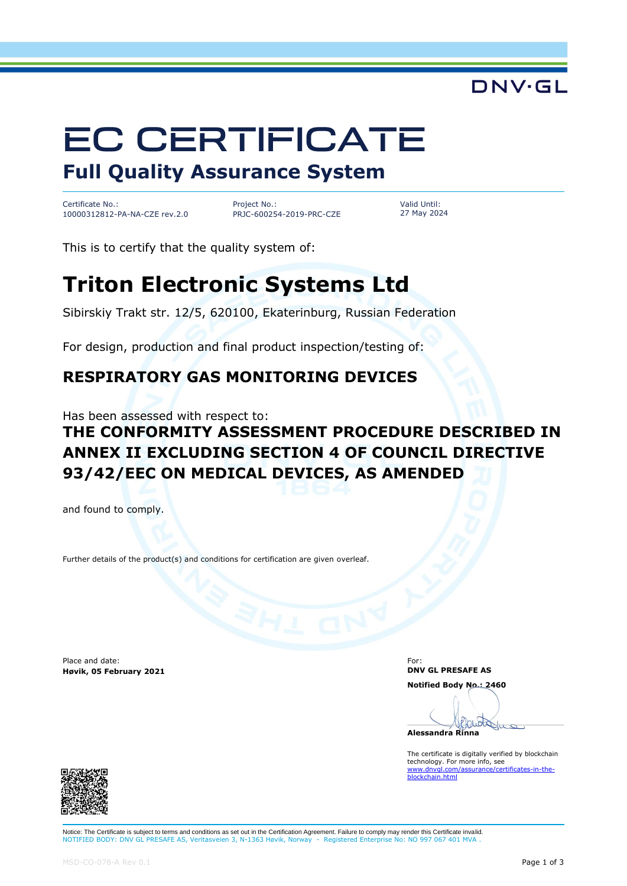# DNV·GL

# **EC CERTIFICATE**

**Full Quality Assurance System**

Certificate No.: 10000312812-PA-NA-CZE rev.2.0

Project No.: PRJC-600254-2019-PRC-CZE

Valid Until: 27 May 2024

This is to certify that the quality system of:

# **Triton Electronic Systems Ltd**

Sibirskiy Trakt str. 12/5, 620100, Ekaterinburg, Russian Federation

For design, production and final product inspection/testing of:

### **RESPIRATORY GAS MONITORING DEVICES**

Has been assessed with respect to:

## **THE CONFORMITY ASSESSMENT PROCEDURE DESCRIBED IN ANNEX II EXCLUDING SECTION 4 OF COUNCIL DIRECTIVE 93/42/EEC ON MEDICAL DEVICES, AS AMENDED**

and found to comply.

Further details of the product(s) and conditions for certification are given overleaf.

Place and date: **Høvik, 05 February 2021**

For: **DNV GL PRESAFE AS Notified Body No.: 2460**

Phruoto **Alessandra Rinna**

The certificate is digitally verified by blockchain technology. For more info, see [www.dnvgl.com/assurance/certificates-in-the-](https://www.dnvgl.com/assurance/certificates-in-the-blockchain.html)[blockchain.html](https://www.dnvgl.com/assurance/certificates-in-the-blockchain.html)



Notice: The Certificate is subject to terms and conditions as set out in the Certification Agreement. Failure to comply may render this Certificate invalid. NOTIFIED BODY: DNV GL PRESAFE AS, Veritasveien 3, N-1363 Høvik, Norway - Registered Enterprise No: NO 997 067 401 MV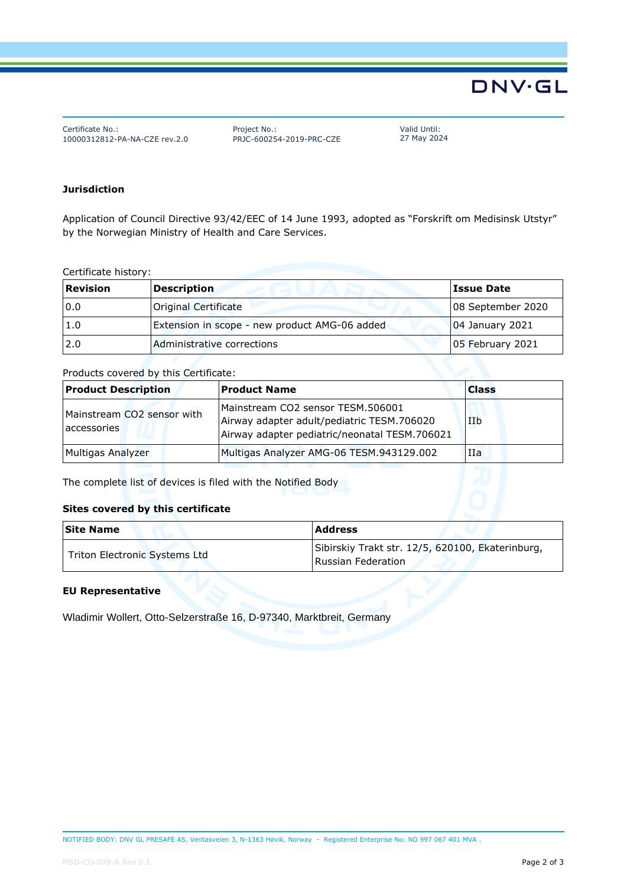# **DNV·GL**

Certificate No.: 10000312812-PA-NA-CZE rev.2.0 Project No.: PRJC-600254-2019-PRC-CZE Valid Until: 27 May 2024

#### **Jurisdiction**

Application of Council Directive 93/42/EEC of 14 June 1993, adopted as "Forskrift om Medisinsk Utstyr" by the Norwegian Ministry of Health and Care Services.

Certificate history:

| <b>Revision</b> | Description                                   | <b>Issue Date</b>  |
|-----------------|-----------------------------------------------|--------------------|
| 0.0             | Original Certificate                          | 08 September 2020  |
| 1.0             | Extension in scope - new product AMG-06 added | $ 04$ January 2021 |
| 2.0             | Administrative corrections                    | 05 February 2021   |

#### Products covered by this Certificate:

| <b>Product Description</b>                | <b>Product Name</b>                                                                                                              | <b>Class</b> |
|-------------------------------------------|----------------------------------------------------------------------------------------------------------------------------------|--------------|
| Mainstream CO2 sensor with<br>accessories | Mainstream CO2 sensor TESM.506001<br>Airway adapter adult/pediatric TESM.706020<br>Airway adapter pediatric/neonatal TESM.706021 | IIb          |
| Multigas Analyzer                         | Multigas Analyzer AMG-06 TESM.943129.002                                                                                         | IIa          |

The complete list of devices is filed with the Notified Body

#### **Sites covered by this certificate**

| <b>Site Name</b>              | <b>Address</b>                                                         |  |
|-------------------------------|------------------------------------------------------------------------|--|
| Triton Electronic Systems Ltd | Sibirskiy Trakt str. 12/5, 620100, Ekaterinburg,<br>Russian Federation |  |

#### **EU Representative**

Wladimir Wollert, Otto-Selzerstraße 16, D-97340, Marktbreit, Germany